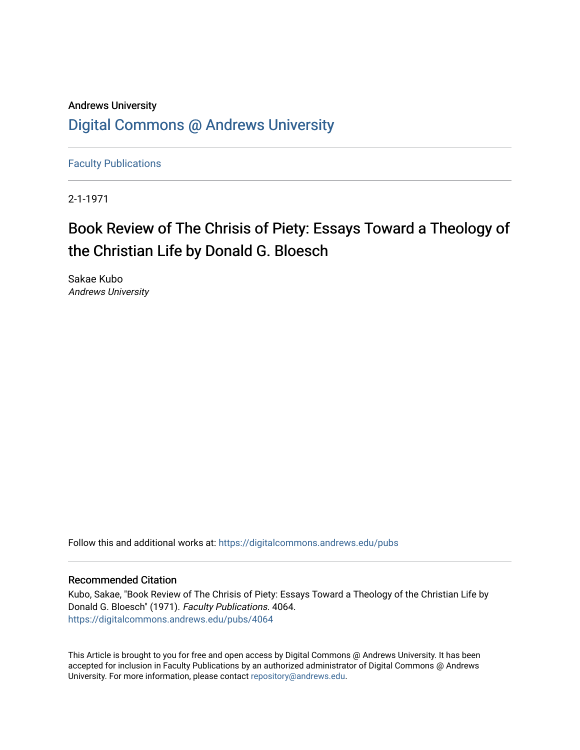# Andrews University [Digital Commons @ Andrews University](https://digitalcommons.andrews.edu/)

[Faculty Publications](https://digitalcommons.andrews.edu/pubs)

2-1-1971

# Book Review of The Chrisis of Piety: Essays Toward a Theology of the Christian Life by Donald G. Bloesch

Sakae Kubo Andrews University

Follow this and additional works at: [https://digitalcommons.andrews.edu/pubs](https://digitalcommons.andrews.edu/pubs?utm_source=digitalcommons.andrews.edu%2Fpubs%2F4064&utm_medium=PDF&utm_campaign=PDFCoverPages) 

## Recommended Citation

Kubo, Sakae, "Book Review of The Chrisis of Piety: Essays Toward a Theology of the Christian Life by Donald G. Bloesch" (1971). Faculty Publications. 4064. [https://digitalcommons.andrews.edu/pubs/4064](https://digitalcommons.andrews.edu/pubs/4064?utm_source=digitalcommons.andrews.edu%2Fpubs%2F4064&utm_medium=PDF&utm_campaign=PDFCoverPages) 

This Article is brought to you for free and open access by Digital Commons @ Andrews University. It has been accepted for inclusion in Faculty Publications by an authorized administrator of Digital Commons @ Andrews University. For more information, please contact [repository@andrews.edu](mailto:repository@andrews.edu).